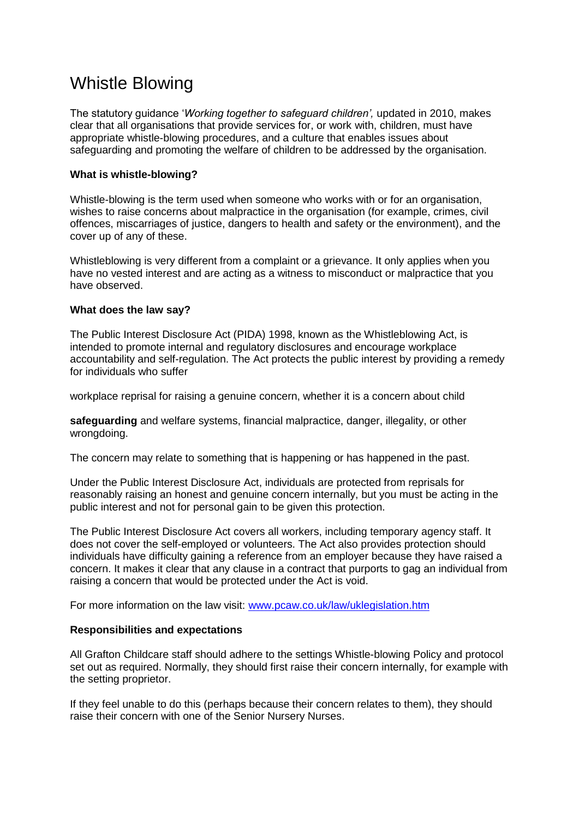# Whistle Blowing

The statutory guidance '*Working together to safeguard children',* updated in 2010, makes clear that all organisations that provide services for, or work with, children, must have appropriate whistle-blowing procedures, and a culture that enables issues about safeguarding and promoting the welfare of children to be addressed by the organisation.

## **What is whistle-blowing?**

Whistle-blowing is the term used when someone who works with or for an organisation, wishes to raise concerns about malpractice in the organisation (for example, crimes, civil offences, miscarriages of justice, dangers to health and safety or the environment), and the cover up of any of these.

Whistleblowing is very different from a complaint or a grievance. It only applies when you have no vested interest and are acting as a witness to misconduct or malpractice that you have observed.

### **What does the law say?**

The Public Interest Disclosure Act (PIDA) 1998, known as the Whistleblowing Act, is intended to promote internal and regulatory disclosures and encourage workplace accountability and self-regulation. The Act protects the public interest by providing a remedy for individuals who suffer

workplace reprisal for raising a genuine concern, whether it is a concern about child

**safeguarding** and welfare systems, financial malpractice, danger, illegality, or other wrongdoing.

The concern may relate to something that is happening or has happened in the past.

Under the Public Interest Disclosure Act, individuals are protected from reprisals for reasonably raising an honest and genuine concern internally, but you must be acting in the public interest and not for personal gain to be given this protection.

The Public Interest Disclosure Act covers all workers, including temporary agency staff. It does not cover the self-employed or volunteers. The Act also provides protection should individuals have difficulty gaining a reference from an employer because they have raised a concern. It makes it clear that any clause in a contract that purports to gag an individual from raising a concern that would be protected under the Act is void.

For more information on the law visit: [www.pcaw.co.uk/law/uklegislation.htm](http://www.pcaw.co.uk/law/uklegislation.htm)

### **Responsibilities and expectations**

All Grafton Childcare staff should adhere to the settings Whistle-blowing Policy and protocol set out as required. Normally, they should first raise their concern internally, for example with the setting proprietor.

If they feel unable to do this (perhaps because their concern relates to them), they should raise their concern with one of the Senior Nursery Nurses.